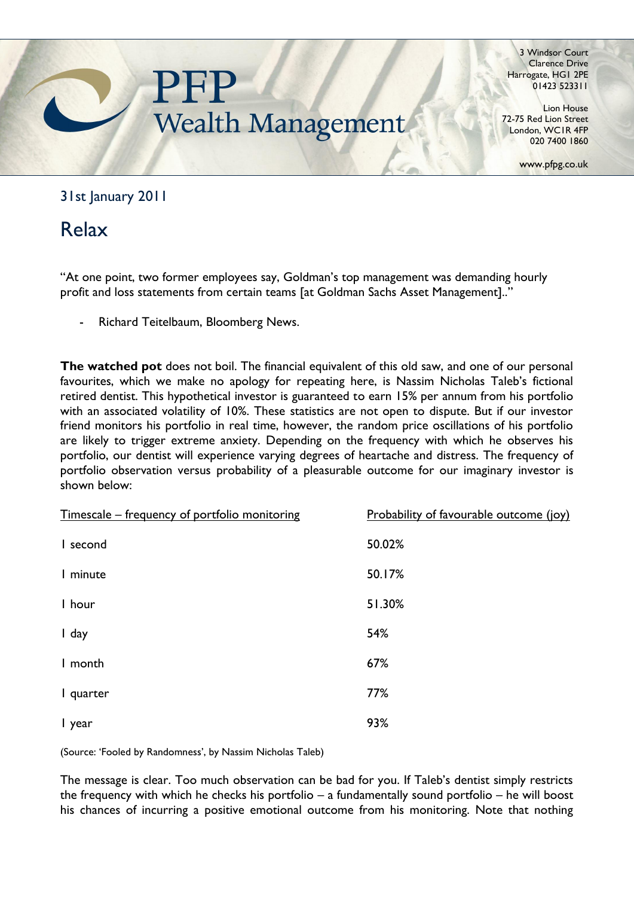

3 Windsor Court Clarence Drive Harrogate, HG1 2PE 01423 523311

Lion House 72-75 Red Lion Street London, WC1R 4FP 020 7400 1860

www.pfpg.co.uk

## 31st January 2011

# Relax

"At one point, two former employees say, Goldman"s top management was demanding hourly profit and loss statements from certain teams [at Goldman Sachs Asset Management].."

Richard Teitelbaum, Bloomberg News.

**The watched pot** does not boil. The financial equivalent of this old saw, and one of our personal favourites, which we make no apology for repeating here, is Nassim Nicholas Taleb's fictional retired dentist. This hypothetical investor is guaranteed to earn 15% per annum from his portfolio with an associated volatility of 10%. These statistics are not open to dispute. But if our investor friend monitors his portfolio in real time, however, the random price oscillations of his portfolio are likely to trigger extreme anxiety. Depending on the frequency with which he observes his portfolio, our dentist will experience varying degrees of heartache and distress. The frequency of portfolio observation versus probability of a pleasurable outcome for our imaginary investor is shown below:

| Timescale – frequency of portfolio monitoring | Probability of favourable outcome (joy) |
|-----------------------------------------------|-----------------------------------------|
| I second                                      | 50.02%                                  |
| I minute                                      | 50.17%                                  |
| I hour                                        | 51.30%                                  |
| I day                                         | 54%                                     |
| I month                                       | 67%                                     |
| I quarter                                     | 77%                                     |
| I year                                        | 93%                                     |

(Source: 'Fooled by Randomness', by Nassim Nicholas Taleb)

The message is clear. Too much observation can be bad for you. If Taleb"s dentist simply restricts the frequency with which he checks his portfolio – a fundamentally sound portfolio – he will boost his chances of incurring a positive emotional outcome from his monitoring. Note that nothing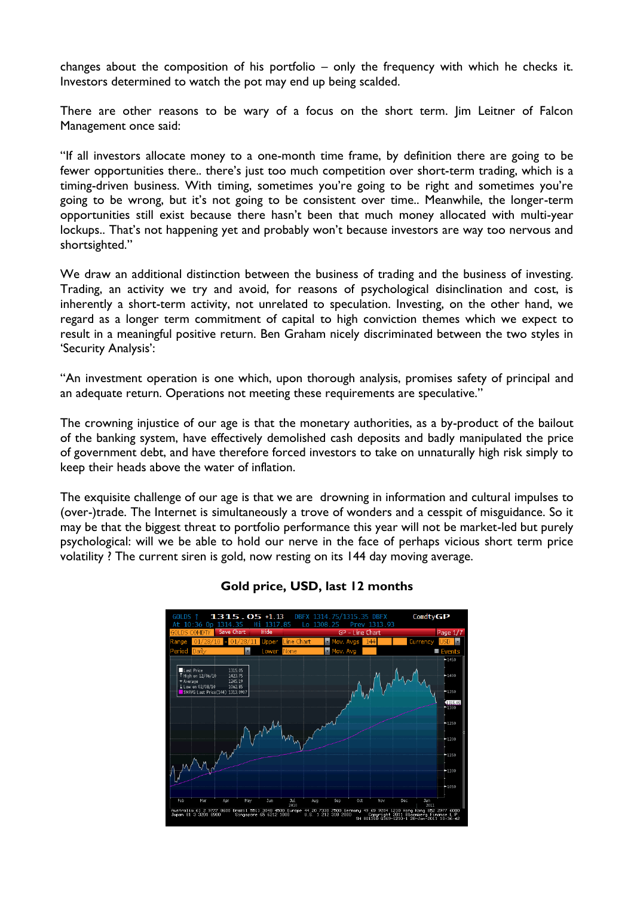changes about the composition of his portfolio – only the frequency with which he checks it. Investors determined to watch the pot may end up being scalded.

There are other reasons to be wary of a focus on the short term. Jim Leitner of Falcon Management once said:

"If all investors allocate money to a one-month time frame, by definition there are going to be fewer opportunities there.. there's just too much competition over short-term trading, which is a timing-driven business. With timing, sometimes you're going to be right and sometimes you're going to be wrong, but it's not going to be consistent over time.. Meanwhile, the longer-term opportunities still exist because there hasn"t been that much money allocated with multi-year lockups.. That's not happening yet and probably won't because investors are way too nervous and shortsighted."

We draw an additional distinction between the business of trading and the business of investing. Trading, an activity we try and avoid, for reasons of psychological disinclination and cost, is inherently a short-term activity, not unrelated to speculation. Investing, on the other hand, we regard as a longer term commitment of capital to high conviction themes which we expect to result in a meaningful positive return. Ben Graham nicely discriminated between the two styles in 'Security Analysis':

"An investment operation is one which, upon thorough analysis, promises safety of principal and an adequate return. Operations not meeting these requirements are speculative."

The crowning injustice of our age is that the monetary authorities, as a by-product of the bailout of the banking system, have effectively demolished cash deposits and badly manipulated the price of government debt, and have therefore forced investors to take on unnaturally high risk simply to keep their heads above the water of inflation.

The exquisite challenge of our age is that we are drowning in information and cultural impulses to (over-)trade. The Internet is simultaneously a trove of wonders and a cesspit of misguidance. So it may be that the biggest threat to portfolio performance this year will not be market-led but purely psychological: will we be able to hold our nerve in the face of perhaps vicious short term price volatility ? The current siren is gold, now resting on its 144 day moving average.



#### **Gold price, USD, last 12 months**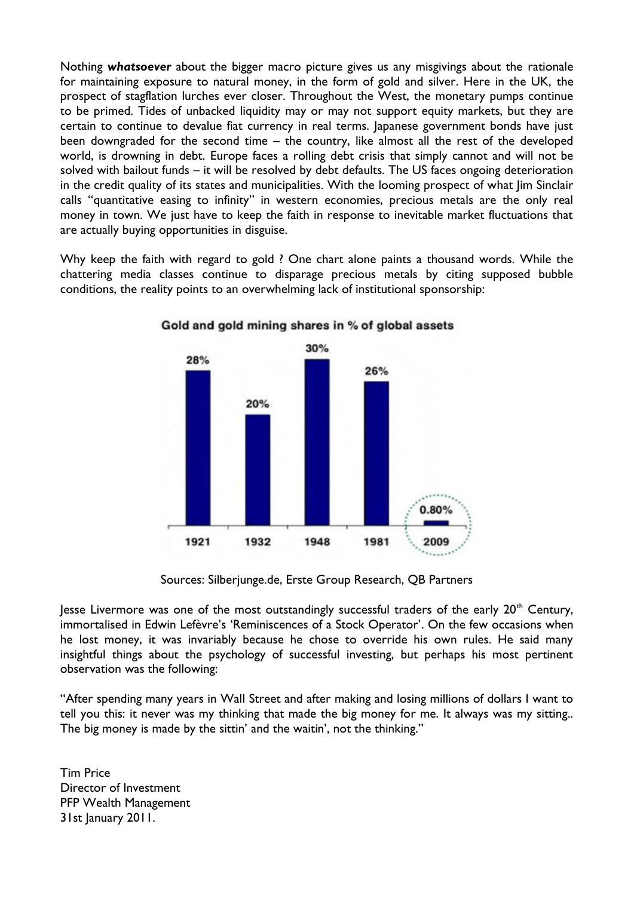Nothing *whatsoever* about the bigger macro picture gives us any misgivings about the rationale for maintaining exposure to natural money, in the form of gold and silver. Here in the UK, the prospect of stagflation lurches ever closer. Throughout the West, the monetary pumps continue to be primed. Tides of unbacked liquidity may or may not support equity markets, but they are certain to continue to devalue fiat currency in real terms. Japanese government bonds have just been downgraded for the second time – the country, like almost all the rest of the developed world, is drowning in debt. Europe faces a rolling debt crisis that simply cannot and will not be solved with bailout funds – it will be resolved by debt defaults. The US faces ongoing deterioration in the credit quality of its states and municipalities. With the looming prospect of what Jim Sinclair calls "quantitative easing to infinity" in western economies, precious metals are the only real money in town. We just have to keep the faith in response to inevitable market fluctuations that are actually buying opportunities in disguise.

Why keep the faith with regard to gold ? One chart alone paints a thousand words. While the chattering media classes continue to disparage precious metals by citing supposed bubble conditions, the reality points to an overwhelming lack of institutional sponsorship:



#### Gold and gold mining shares in % of global assets

Sources: Silberjunge.de, Erste Group Research, QB Partners

Jesse Livermore was one of the most outstandingly successful traders of the early  $20<sup>th</sup>$  Century, immortalised in Edwin Lefèvre's 'Reminiscences of a Stock Operator'. On the few occasions when he lost money, it was invariably because he chose to override his own rules. He said many insightful things about the psychology of successful investing, but perhaps his most pertinent observation was the following:

"After spending many years in Wall Street and after making and losing millions of dollars I want to tell you this: it never was my thinking that made the big money for me. It always was my sitting.. The big money is made by the sittin' and the waitin', not the thinking."

Tim Price Director of Investment PFP Wealth Management 31st January 2011.